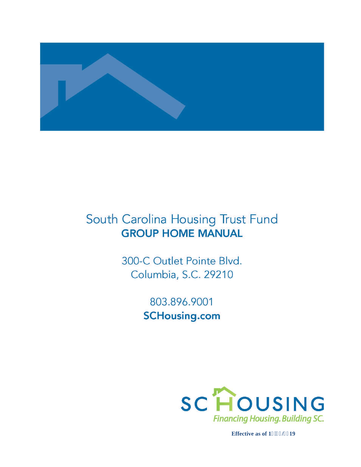

# South Carolina Housing Trust Fund **GROUP HOME MANUAL**

300-C Outlet Pointe Blvd. Columbia, S.C. 29210

> 803.896.9001 **SCHousing.com**



**Effective as of 14185/4219**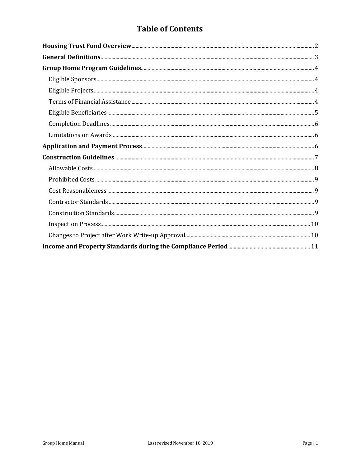## **Table of Contents**

| ${\bf Eligible\ Sponsors.}\hspace{15pt} 4$ |  |
|--------------------------------------------|--|
|                                            |  |
|                                            |  |
|                                            |  |
|                                            |  |
|                                            |  |
|                                            |  |
|                                            |  |
|                                            |  |
|                                            |  |
|                                            |  |
|                                            |  |
|                                            |  |
|                                            |  |
|                                            |  |
|                                            |  |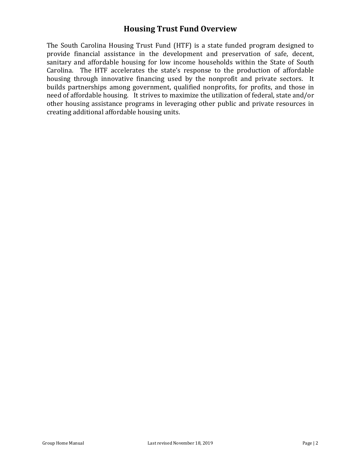### **Housing Trust Fund Overview**

The South Carolina Housing Trust Fund (HTF) is a state funded program designed to provide financial assistance in the development and preservation of safe, decent, sanitary and affordable housing for low income households within the State of South Carolina. The HTF accelerates the state's response to the production of affordable housing through innovative financing used by the nonprofit and private sectors. It builds partnerships among government, qualified nonprofits, for profits, and those in need of affordable housing. It strives to maximize the utilization of federal, state and/or other housing assistance programs in leveraging other public and private resources in creating additional affordable housing units.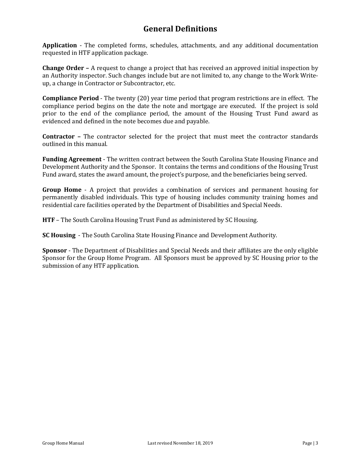### **General Definitions**

**Application** - The completed forms, schedules, attachments, and any additional documentation requested in HTF application package.

**Change Order –** A request to change a project that has received an approved initial inspection by an Authority inspector. Such changes include but are not limited to, any change to the Work Writeup, a change in Contractor or Subcontractor, etc.

**Compliance Period** - The twenty (20) year time period that program restrictions are in effect. The compliance period begins on the date the note and mortgage are executed. If the project is sold prior to the end of the compliance period, the amount of the Housing Trust Fund award as evidenced and defined in the note becomes due and payable.

**Contractor –** The contractor selected for the project that must meet the contractor standards outlined in this manual.

**Funding Agreement** - The written contract between the South Carolina State Housing Finance and Development Authority and the Sponsor. It contains the terms and conditions of the Housing Trust Fund award, states the award amount, the project's purpose, and the beneficiaries being served.

**Group Home** - A project that provides a combination of services and permanent housing for permanently disabled individuals. This type of housing includes community training homes and residential care facilities operated by the Department of Disabilities and Special Needs.

**HTF** – The South Carolina Housing Trust Fund as administered by SC Housing.

**SC Housing** - The South Carolina State Housing Finance and Development Authority.

**Sponsor** - The Department of Disabilities and Special Needs and their affiliates are the only eligible Sponsor for the Group Home Program. All Sponsors must be approved by SC Housing prior to the submission of any HTF application.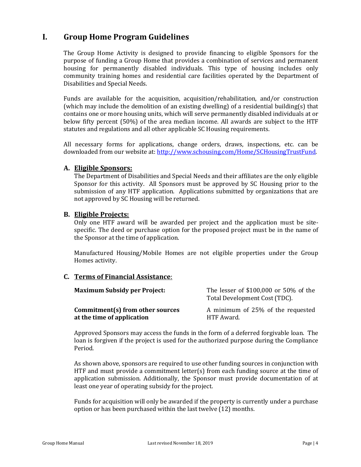### **I. Group Home Program Guidelines**

The Group Home Activity is designed to provide financing to eligible Sponsors for the purpose of funding a Group Home that provides a combination of services and permanent housing for permanently disabled individuals. This type of housing includes only community training homes and residential care facilities operated by the Department of Disabilities and Special Needs.

Funds are available for the acquisition, acquisition/rehabilitation, and/or construction (which may include the demolition of an existing dwelling) of a residential building(s) that contains one or more housing units, which will serve permanently disabled individuals at or below fifty percent (50%) of the area median income. All awards are subject to the HTF statutes and regulations and all other applicable SC Housing requirements.

All necessary forms for applications, change orders, draws, inspections, etc. can be downloaded from our website at[: http://www.schousing.com/Home/SCHousingTrustFund.](http://www.schousing.com/Home/SCHousingTrustFund) 

#### **A. Eligible Sponsors:**

The Department of Disabilities and Special Needs and their affiliates are the only eligible Sponsor for this activity. All Sponsors must be approved by SC Housing prior to the submission of any HTF application. Applications submitted by organizations that are not approved by SC Housing will be returned.

#### **B. Eligible Projects:**

Only one HTF award will be awarded per project and the application must be sitespecific. The deed or purchase option for the proposed project must be in the name of the Sponsor at the time of application.

Manufactured Housing/Mobile Homes are not eligible properties under the Group Homes activity.

### **C. Terms of Financial Assistance**:

| <b>Maximum Subsidy per Project:</b> | The lesser of \$100,000 or 50% of the<br>Total Development Cost (TDC). |
|-------------------------------------|------------------------------------------------------------------------|
| Commitment(s) from other sources    | A minimum of 25% of the requested                                      |
| at the time of application          | HTF Award.                                                             |

Approved Sponsors may access the funds in the form of a deferred forgivable loan. The loan is forgiven if the project is used for the authorized purpose during the Compliance Period.

As shown above, sponsors are required to use other funding sources in conjunction with HTF and must provide a commitment letter(s) from each funding source at the time of application submission. Additionally, the Sponsor must provide documentation of at least one year of operating subsidy for the project.

Funds for acquisition will only be awarded if the property is currently under a purchase option or has been purchased within the last twelve (12) months.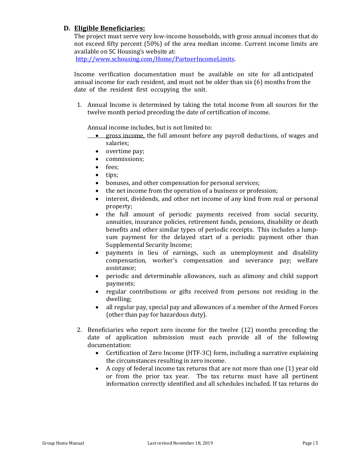### **D. Eligible Beneficiaries:**

The project must serve very low-income households, with gross annual incomes that do not exceed fifty percent (50%) of the area median income. Current income limits are available on SC Housing's website at:

[http://www.schousing.com/Home/PartnerIncomeLimits.](http://www.schousing.com/Home/PartnerIncomeLimits)

Income verification documentation must be available on site for all anticipated annual income for each resident, and must not be older than six (6) months from the date of the resident first occupying the unit.

1. Annual Income is determined by taking the total income from all sources for the twelve month period preceding the date of certification of income.

Annual income includes, but is not limited to:

- gross income, the full amount before any payroll deductions, of wages and salaries;
	- overtime pay;
	- commissions;
	- fees;<br>• tins:
	- tips;
	- bonuses, and other compensation for personal services;<br>• the net income from the operation of a business or profe
	- the net income from the operation of a business or profession;
	- interest, dividends, and other net income of any kind from real or personal property;
	- the full amount of periodic payments received from social security, annuities, insurance policies, retirement funds, pensions, disability or death benefits and other similar types of periodic receipts. This includes a lumpsum payment for the delayed start of a periodic payment other than Supplemental Security Income;
	- payments in lieu of earnings, such as unemployment and disability compensation, worker's compensation and severance pay; welfare assistance;
	- periodic and determinable allowances, such as alimony and child support payments;
	- regular contributions or gifts received from persons not residing in the dwelling;
	- all regular pay, special pay and allowances of a member of the Armed Forces (other than pay for hazardous duty).
- 2. Beneficiaries who report zero income for the twelve (12) months preceding the date of application submission must each provide all of the following documentation:
	- Certification of Zero Income (HTF-3C) form, including a narrative explaining the circumstances resulting in zero income.
	- A copy of federal income tax returns that are not more than one (1) year old or from the prior tax year. The tax returns must have all pertinent information correctly identified and all schedules included. If tax returns do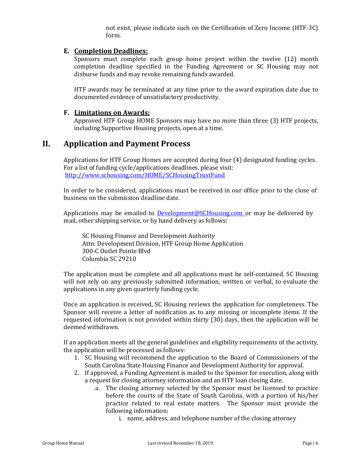not exist, please indicate such on the Certification of Zero Income (HTF-3C) form.

### **E. Completion Deadlines:**

Sponsors must complete each group home project within the twelve (12) month completion deadline specified in the Funding Agreement or SC Housing may not disburse funds and may revoke remaining funds awarded.

HTF awards may be terminated at any time prior to the award expiration date due to documented evidence of unsatisfactory productivity.

### **F. Limitations on Awards:**

Approved HTF Group HOME Sponsors may have no more than three (3) HTF projects, including Supportive Housing projects, open at a time.

### **II. Application and Payment Process**

Applications for HTF Group Homes are accepted during four (4) designated funding cycles. For a list of funding cycle/applications deadlines, please visit: <http://www.schousing.com/HOME/SCHousingTrustFund>

In order to be considered, applications must be received in our office prior to the close of business on the submission deadline date.

Applications may be emailed to **Development@SCHousing.com** or may be delivered by mail, other shipping service, or by hand delivery as follows:

SC Housing Finance and Development Authority Attn: Development Division, HTF Group Home Application 300-C Outlet Pointe Blvd Columbia SC 29210

The application must be complete and all applications must be self-contained. SC Housing will not rely on any previously submitted information, written or verbal, to evaluate the applications in any given quarterly funding cycle.

Once an application is received, SC Housing reviews the application for completeness. The Sponsor will receive a letter of notification as to any missing or incomplete items. If the requested information is not provided within thirty (30) days, then the application will be deemed withdrawn.

If an application meets all the general guidelines and eligibility requirements of the activity, the application will be processed as follows:

- 1. SC Housing will recommend the application to the Board of Commissioners of the South Carolina State Housing Finance and Development Authority for approval.
- 2. If approved, a Funding Agreement is mailed to the Sponsor for execution, along with a request for closing attorney information and an HTF loan closing date.
	- a. The closing attorney selected by the Sponsor must be licensed to practice before the courts of the State of South Carolina, with a portion of his/her practice related to real estate matters. The Sponsor must provide the following information:
		- i. name, address, and telephone number of the closing attorney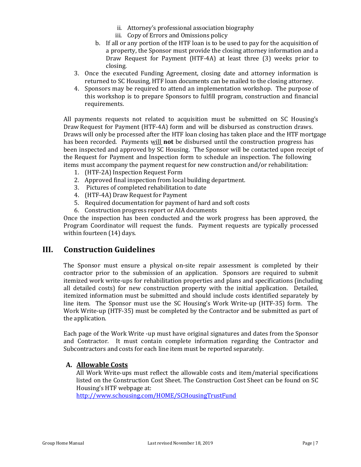- ii. Attorney's professional association biography
- iii. Copy of Errors and Omissions policy
- b. If all or any portion of the HTF loan is to be used to pay for the acquisition of a property, the Sponsor must provide the closing attorney information and a Draw Request for Payment (HTF-4A) at least three (3) weeks prior to closing.
- 3. Once the executed Funding Agreement, closing date and attorney information is returned to SC Housing, HTF loan documents can be mailed to the closing attorney.
- 4. Sponsors may be required to attend an implementation workshop. The purpose of this workshop is to prepare Sponsors to fulfill program, construction and financial requirements.

All payments requests not related to acquisition must be submitted on SC Housing's Draw Request for Payment (HTF-4A) form and will be disbursed as construction draws. Draws will only be processed after the HTF loan closing has taken place and the HTF mortgage has been recorded. Payments will **not** be disbursed until the construction progress has been inspected and approved by SC Housing. The Sponsor will be contacted upon receipt of the Request for Payment and Inspection form to schedule an inspection. The following items must accompany the payment request for new construction and/or rehabilitation:

- 1. (HTF-2A) Inspection Request Form
- 2. Approved final inspection from local building department.
- 3. Pictures of completed rehabilitation to date
- 4. (HTF-4A) Draw Request for Payment
- 5. Required documentation for payment of hard and soft costs
- 6. Construction progress report or AIA documents

Once the inspection has been conducted and the work progress has been approved, the Program Coordinator will request the funds. Payment requests are typically processed within fourteen (14) days.

### **III. Construction Guidelines**

The Sponsor must ensure a physical on-site repair assessment is completed by their contractor prior to the submission of an application. Sponsors are required to submit itemized work write-ups for rehabilitation properties and plans and specifications (including all detailed costs) for new construction property with the initial application. Detailed, itemized information must be submitted and should include costs identified separately by line item. The Sponsor must use the SC Housing's Work Write-up (HTF-35) form. The Work Write-up (HTF-35) must be completed by the Contractor and be submitted as part of the application.

Each page of the Work Write -up must have original signatures and dates from the Sponsor and Contractor. It must contain complete information regarding the Contractor and Subcontractors and costs for each line item must be reported separately.

### **A. Allowable Costs**

All Work Write-ups must reflect the allowable costs and item/material specifications listed on the Construction Cost Sheet. The Construction Cost Sheet can be found on SC Housing's HTF webpage at:

<http://www.schousing.com/HOME/SCHousingTrustFund>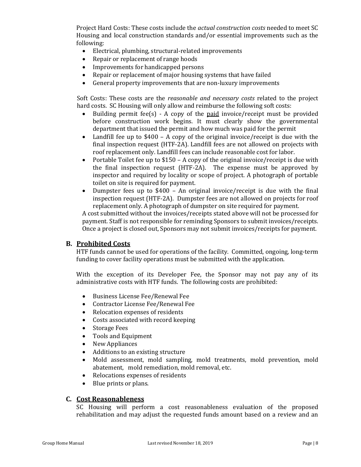Project Hard Costs: These costs include the *actual construction costs* needed to meet SC Housing and local construction standards and/or essential improvements such as the following:

- Electrical, plumbing, structural-related improvements
- Repair or replacement of range hoods
- Improvements for handicapped persons
- Repair or replacement of major housing systems that have failed
- General property improvements that are non-luxury improvements

Soft Costs: These costs are the *reasonable and necessary costs* related to the project hard costs. SC Housing will only allow and reimburse the following soft costs:

- Building permit fee(s) A copy of the paid invoice/receipt must be provided before construction work begins. It must clearly show the governmental department that issued the permit and how much was paid for the permit
- Landfill fee up to \$400 A copy of the original invoice/receipt is due with the final inspection request (HTF-2A). Landfill fees are not allowed on projects with roof replacement only. Landfill fees can include reasonable cost for labor.
- Portable Toilet fee up to \$150 A copy of the original invoice/receipt is due with the final inspection request (HTF-2A). The expense must be approved by inspector and required by locality or scope of project. A photograph of portable toilet on site is required for payment.
- Dumpster fees up to \$400 An original invoice/receipt is due with the final inspection request (HTF-2A). Dumpster fees are not allowed on projects for roof replacement only. A photograph of dumpster on site required for payment.

A cost submitted without the invoices/receipts stated above will not be processed for payment. Staff is not responsible for reminding Sponsors to submit invoices/receipts. Once a project is closed out, Sponsors may not submit invoices/receipts for payment.

#### **B. Prohibited Costs**

HTF funds cannot be used for operations of the facility. Committed, ongoing, long-term funding to cover facility operations must be submitted with the application.

With the exception of its Developer Fee, the Sponsor may not pay any of its administrative costs with HTF funds. The following costs are prohibited:

- Business License Fee/Renewal Fee
- Contractor License Fee/Renewal Fee
- Relocation expenses of residents
- Costs associated with record keeping
- Storage Fees
- Tools and Equipment
- New Appliances
- Additions to an existing structure
- Mold assessment, mold sampling, mold treatments, mold prevention, mold abatement, mold remediation, mold removal, etc.
- Relocations expenses of residents<br>• Blue prints or plans.
- Blue prints or plans.

#### **C. Cost Reasonableness**

SC Housing will perform a cost reasonableness evaluation of the proposed rehabilitation and may adjust the requested funds amount based on a review and an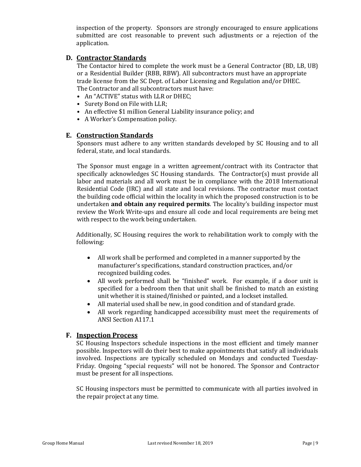inspection of the property. Sponsors are strongly encouraged to ensure applications submitted are cost reasonable to prevent such adjustments or a rejection of the application.

### **D. Contractor Standards**

The Contactor hired to complete the work must be a General Contractor (BD, LB, UB) or a Residential Builder (RBB, RBW). All subcontractors must have an appropriate trade license from the SC Dept. of Labor Licensing and Regulation and/or DHEC. The Contractor and all subcontractors must have:

- An "ACTIVE" status with LLR or DHEC;
- Surety Bond on File with LLR;
- An effective \$1 million General Liability insurance policy; and
- A Worker's Compensation policy.

#### **E. Construction Standards**

Sponsors must adhere to any written standards developed by SC Housing and to all federal, state, and local standards.

The Sponsor must engage in a written agreement/contract with its Contractor that specifically acknowledges SC Housing standards. The Contractor(s) must provide all labor and materials and all work must be in compliance with the 2018 International Residential Code (IRC) and all state and local revisions. The contractor must contact the building code official within the locality in which the proposed construction is to be undertaken **and obtain any required permits**. The locality's building inspector must review the Work Write-ups and ensure all code and local requirements are being met with respect to the work being undertaken.

Additionally, SC Housing requires the work to rehabilitation work to comply with the following:

- All work shall be performed and completed in a manner supported by the manufacturer's specifications, standard construction practices, and/or recognized building codes.
- All work performed shall be "finished" work. For example, if a door unit is specified for a bedroom then that unit shall be finished to match an existing unit whether it is stained/finished or painted, and a lockset installed.
- All material used shall be new, in good condition and of standard grade.
- All work regarding handicapped accessibility must meet the requirements of ANSI Section A117.1

#### **F. Inspection Process**

SC Housing Inspectors schedule inspections in the most efficient and timely manner possible. Inspectors will do their best to make appointments that satisfy all individuals involved. Inspections are typically scheduled on Mondays and conducted Tuesday-Friday. Ongoing "special requests" will not be honored. The Sponsor and Contractor must be present for all inspections.

SC Housing inspectors must be permitted to communicate with all parties involved in the repair project at any time.